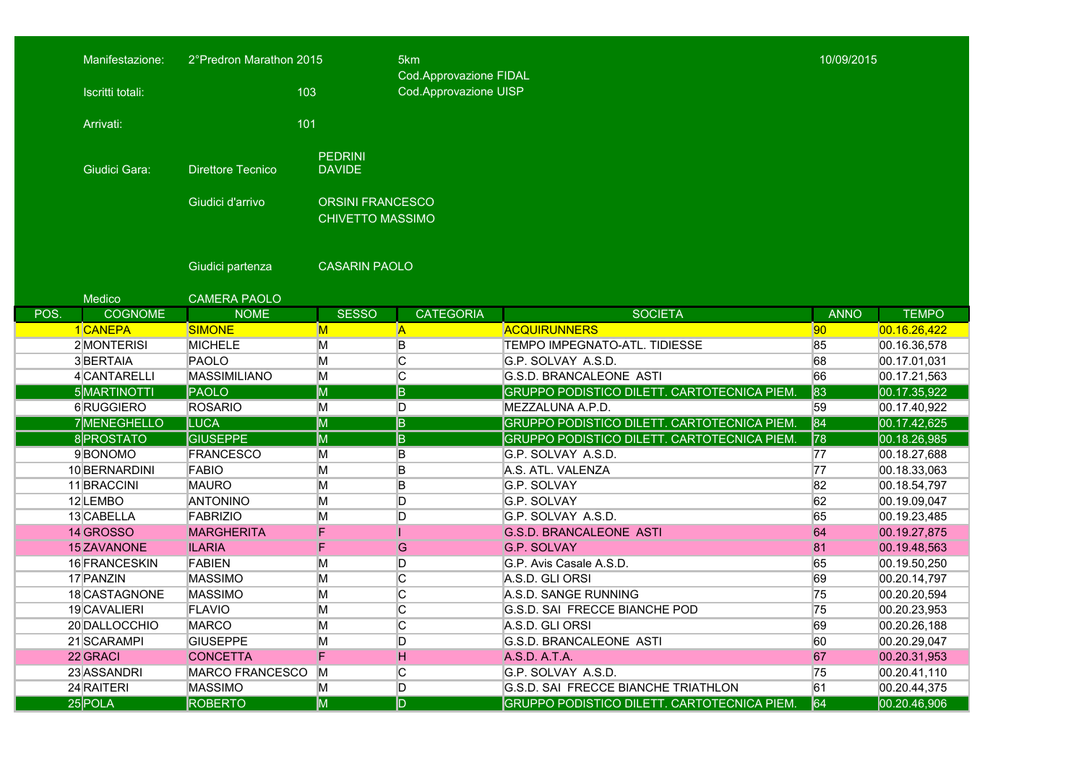|      | Manifestazione:<br>Iscritti totali: | 2°Predron Marathon 2015<br>103      |                                                    | 5km<br>Cod.Approvazione FIDAL<br>Cod.Approvazione UISP |                                                                  |             | 10/09/2015                    |  |
|------|-------------------------------------|-------------------------------------|----------------------------------------------------|--------------------------------------------------------|------------------------------------------------------------------|-------------|-------------------------------|--|
|      | Arrivati:                           | 101                                 |                                                    |                                                        |                                                                  |             |                               |  |
|      | Giudici Gara:                       | <b>Direttore Tecnico</b>            | <b>PEDRINI</b><br><b>DAVIDE</b>                    |                                                        |                                                                  |             |                               |  |
|      |                                     | Giudici d'arrivo                    | <b>ORSINI FRANCESCO</b><br><b>CHIVETTO MASSIMO</b> |                                                        |                                                                  |             |                               |  |
|      |                                     | Giudici partenza                    | <b>CASARIN PAOLO</b>                               |                                                        |                                                                  |             |                               |  |
|      | Medico                              | <b>CAMERA PAOLO</b>                 |                                                    |                                                        |                                                                  |             |                               |  |
| POS. | <b>COGNOME</b>                      | <b>NOME</b>                         | <b>SESSO</b>                                       | <b>CATEGORIA</b>                                       | <b>SOCIETA</b>                                                   | <b>ANNO</b> | <b>TEMPO</b>                  |  |
|      | 1 CANEPA                            | <b>SIMONE</b>                       | $\overline{\mathsf{M}}$                            | $\mathsf{A}$                                           | <b>ACQUIRUNNERS</b>                                              | 90          | 00.16.26,422                  |  |
|      | 2 MONTERISI                         | <b>MICHELE</b>                      | M                                                  | B                                                      | <b>TEMPO IMPEGNATO-ATL, TIDIESSE</b>                             | 85          | 00.16.36,578                  |  |
|      | 3 <b>BERTAIA</b>                    | PAOLO                               | M                                                  | C                                                      | G.P. SOLVAY A.S.D.                                               | 68          | 00.17.01,031                  |  |
|      | 4 CANTARELLI                        | <b>MASSIMILIANO</b>                 | M                                                  | C                                                      | G.S.D. BRANCALEONE ASTI                                          | 66          | 00.17.21,563                  |  |
|      | 5MARTINOTTI                         | PAOLO                               | M                                                  | B                                                      | GRUPPO PODISTICO DILETT. CARTOTECNICA PIEM                       | 83          | 00.17.35,922                  |  |
|      | 6RUGGIERO                           | <b>ROSARIO</b>                      | M                                                  | D                                                      | MEZZALUNA A.P.D.                                                 | 59          | 00.17.40,922                  |  |
|      | 7MENEGHELLO                         | <b>LUCA</b>                         | M                                                  | $\overline{B}$                                         | GRUPPO PODISTICO DILETT. CARTOTECNICA PIEM                       | 84          | 00.17.42,625                  |  |
|      | 8 PROSTATO<br>9BONOMO               | <b>GIUSEPPE</b><br><b>FRANCESCO</b> | M                                                  | B                                                      | GRUPPO PODISTICO DILETT. CARTOTECNICA PIEM<br>G.P. SOLVAY A.S.D. | 78          | 00.18.26,985                  |  |
|      | 10 BERNARDINI                       | <b>FABIO</b>                        | Μ<br>M                                             | B<br>B                                                 | A.S. ATL. VALENZA                                                | 77<br>77    | 00.18.27,688<br>00.18.33,063  |  |
|      | 11 BRACCINI                         | <b>MAURO</b>                        | M                                                  | B                                                      | G.P. SOLVAY                                                      | 82          |                               |  |
|      | 12 LEMBO                            | <b>ANTONINO</b>                     | M                                                  | D                                                      | G.P. SOLVAY                                                      | 62          | 00.18.54,797<br> 00.19.09,047 |  |
|      | 13 CABELLA                          | <b>FABRIZIO</b>                     | M                                                  | D                                                      | G.P. SOLVAY A.S.D.                                               | 65          | 00.19.23,485                  |  |
|      | 14 GROSSO                           | <b>MARGHERITA</b>                   | F                                                  |                                                        | <b>G.S.D. BRANCALEONE ASTI</b>                                   | 64          | 00.19.27,875                  |  |
|      | 15 ZAVANONE                         | <b>ILARIA</b>                       | F                                                  | G                                                      | <b>G.P. SOLVAY</b>                                               | 81          | 00.19.48,563                  |  |
|      | 16 FRANCESKIN                       | <b>FABIEN</b>                       | M                                                  | D                                                      | G.P. Avis Casale A.S.D.                                          | 65          | 00.19.50,250                  |  |
|      | 17 PANZIN                           | <b>MASSIMO</b>                      | M                                                  | C                                                      | A.S.D. GLI ORSI                                                  | 69          | 00.20.14,797                  |  |
|      | 18 CASTAGNONE                       | <b>MASSIMO</b>                      | M                                                  | C                                                      | A.S.D. SANGE RUNNING                                             | 75          | 00.20.20,594                  |  |
|      | 19 CAVALIERI                        | <b>FLAVIO</b>                       | М                                                  | $\overline{C}$                                         | G.S.D. SAI FRECCE BIANCHE POD                                    | 75          | 00.20.23,953                  |  |
|      | 20 DALLOCCHIO                       | <b>MARCO</b>                        | M                                                  | C                                                      | A.S.D. GLI ORSI                                                  | 69          | [00.20.26, 188]               |  |
|      | 21 SCARAMPI                         | <b>GIUSEPPE</b>                     | M                                                  | D                                                      | G.S.D. BRANCALEONE ASTI                                          | 60          | 00.20.29,047                  |  |
|      | 22 GRACI                            | <b>CONCETTA</b>                     | F                                                  | H                                                      | A.S.D. A.T.A.                                                    | 67          | 00.20.31,953                  |  |
|      | 23 ASSANDRI                         | MARCO FRANCESCO                     | M                                                  | С                                                      | G.P. SOLVAY A.S.D.                                               | 75          | 00.20.41, 110                 |  |
|      | 24 RAITERI                          | <b>MASSIMO</b>                      | M                                                  | D                                                      | G.S.D. SAI FRECCE BIANCHE TRIATHLON                              | 61          | 00.20.44,375                  |  |
|      | $25$ POLA                           | <b>ROBERTO</b>                      | M                                                  | D.                                                     | GRUPPO PODISTICO DILETT. CARTOTECNICA PIEM.                      | 64          | 00.20.46,906                  |  |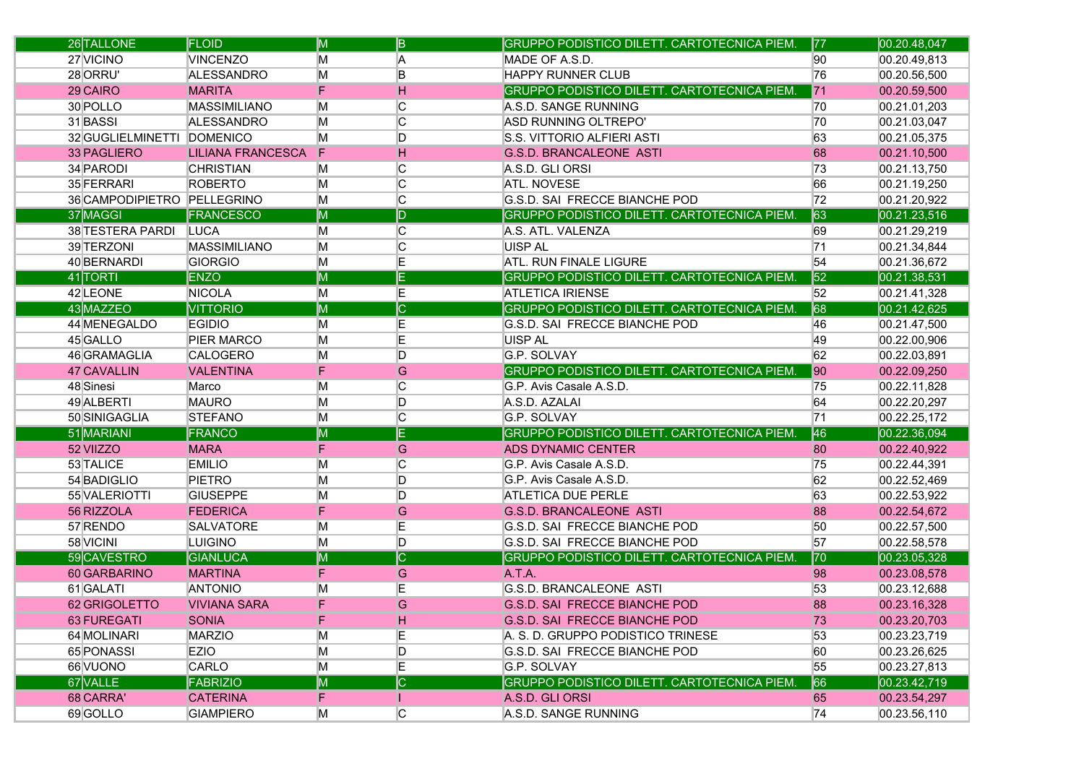| 26 TALLONE                  | <b>FLOID</b>             | M                       | B                       | GRUPPO PODISTICO DILETT. CARTOTECNICA PIEM. | 77  | 00.20.48,047 |
|-----------------------------|--------------------------|-------------------------|-------------------------|---------------------------------------------|-----|--------------|
| 27 VICINO                   | <b>VINCENZO</b>          | М                       | A                       | MADE OF A.S.D.                              | 90  | 00.20.49,813 |
| 28 ORRU'                    | ALESSANDRO               | M                       | B                       | <b>HAPPY RUNNER CLUB</b>                    | 76  | 00.20.56,500 |
| 29 CAIRO                    | <b>MARITA</b>            | F                       | н                       | GRUPPO PODISTICO DILETT. CARTOTECNICA PIEM. | 71  | 00.20.59,500 |
| 30 POLLO                    | <b>MASSIMILIANO</b>      | M                       | C                       | A.S.D. SANGE RUNNING                        | 170 | 00.21.01,203 |
| 31 BASSI                    | ALESSANDRO               | M                       | C                       | <b>ASD RUNNING OLTREPO'</b>                 | 70  | 00.21.03,047 |
| 32 GUGLIELMINETTI DOMENICO  |                          | M                       | D                       | S.S. VITTORIO ALFIERI ASTI                  | 63  | 00.21.05,375 |
| 33 PAGLIERO                 | <b>LILIANA FRANCESCA</b> | F                       | н                       | <b>G.S.D. BRANCALEONE ASTI</b>              | 68  | 00.21.10,500 |
| 34 PARODI                   | <b>CHRISTIAN</b>         | Μ                       | C                       | A.S.D. GLI ORSI                             | 73  | 00.21.13,750 |
| 35 FERRARI                  | <b>ROBERTO</b>           | М                       | C                       | <b>ATL. NOVESE</b>                          | 66  | 00.21.19,250 |
| 36 CAMPODIPIETRO PELLEGRINO |                          | M                       | $\overline{C}$          | G.S.D. SAI FRECCE BIANCHE POD               | 72  | 00.21.20,922 |
| 37 MAGGI                    | <b>FRANCESCO</b>         | M                       | $\overline{\mathsf{D}}$ | GRUPPO PODISTICO DILETT. CARTOTECNICA PIEM. | 63  | 00.21.23,516 |
| 38 TESTERA PARDI            | <b>LUCA</b>              | M                       | C                       | A.S. ATL. VALENZA                           | 69  | 00.21.29,219 |
| 39 TERZONI                  | MASSIMILIANO             | M                       | C                       | <b>UISP AL</b>                              | 71  | 00.21.34,844 |
| 40 BERNARDI                 | GIORGIO                  | M                       | E                       | <b>ATL. RUN FINALE LIGURE</b>               | 54  | 00.21.36,672 |
| 41 TORTI                    | <b>ENZO</b>              | M                       | E                       | GRUPPO PODISTICO DILETT. CARTOTECNICA PIEM  | 52  | 00.21.38,531 |
| 42 LEONE                    | <b>NICOLA</b>            | M                       | E                       | <b>ATLETICA IRIENSE</b>                     | 52  | 00.21.41,328 |
| 43 MAZZEO                   | <b>VITTORIO</b>          | M                       | $\overline{\mathsf{C}}$ | GRUPPO PODISTICO DILETT. CARTOTECNICA PIEM. | 68  | 00.21.42,625 |
| 44 MENEGALDO                | <b>EGIDIO</b>            | Μ                       | Ε                       | G.S.D. SAI FRECCE BIANCHE POD               | 46  | 00.21.47,500 |
| 45 GALLO                    | <b>PIER MARCO</b>        | М                       | E                       | <b>UISP AL</b>                              | 49  | 00.22.00,906 |
| 46 GRAMAGLIA                | CALOGERO                 | М                       | D                       | <b>G.P. SOLVAY</b>                          | 62  | 00.22.03,891 |
| 47 CAVALLIN                 | <b>VALENTINA</b>         | F                       | G                       | GRUPPO PODISTICO DILETT. CARTOTECNICA PIEM. | 90  | 00.22.09,250 |
| 48 Sinesi                   | Marco                    | M                       | C                       | G.P. Avis Casale A.S.D.                     | 75  | 00.22.11,828 |
| 49 ALBERTI                  | <b>MAURO</b>             | M                       | D                       | A.S.D. AZALAI                               | 64  | 00.22.20,297 |
| 50 SINIGAGLIA               | <b>STEFANO</b>           | M                       | C                       | G.P. SOLVAY                                 | 71  | 00.22.25,172 |
| 51 MARIANI                  | FRANCO                   | M                       | Ē                       | GRUPPO PODISTICO DILETT. CARTOTECNICA PIEM  | 46  | 00.22.36,094 |
| 52 VIIZZO                   | <b>MARA</b>              | F                       | G                       | <b>ADS DYNAMIC CENTER</b>                   | 80  | 00.22.40,922 |
| 53 TALICE                   | <b>EMILIO</b>            | M                       | C                       | G.P. Avis Casale A.S.D.                     | 75  | 00.22.44,391 |
| 54 BADIGLIO                 | <b>PIETRO</b>            | M                       | D                       | G.P. Avis Casale A.S.D.                     | 62  | 00.22.52,469 |
| 55 VALERIOTTI               | <b>GIUSEPPE</b>          | M                       | D                       | <b>ATLETICA DUE PERLE</b>                   | 63  | 00.22.53,922 |
| 56 RIZZOLA                  | <b>FEDERICA</b>          | F                       | G                       | <b>G.S.D. BRANCALEONE ASTI</b>              | 88  | 00.22.54,672 |
| 57 RENDO                    | <b>SALVATORE</b>         | M                       | Ε                       | G.S.D. SAI FRECCE BIANCHE POD               | 50  | 00.22.57,500 |
| 58 VICINI                   | <b>LUIGINO</b>           | M                       | D                       | G.S.D. SAI FRECCE BIANCHE POD               | 57  | 00.22.58,578 |
| 59CAVESTRO                  | <b>GIANLUCA</b>          | M                       | $ \overline{\text{C}} $ | GRUPPO PODISTICO DILETT. CARTOTECNICA PIEM  | 70  | 00.23.05,328 |
| 60 GARBARINO                | <b>MARTINA</b>           | F                       | G                       | A.T.A.                                      | 98  | 00.23.08,578 |
| 61 GALATI                   | <b>ANTONIO</b>           | М                       | E                       | G.S.D. BRANCALEONE ASTI                     | 53  | 00.23.12,688 |
| 62 GRIGOLETTO               | <b>VIVIANA SARA</b>      | F                       | G                       | <b>G.S.D. SAI FRECCE BIANCHE POD</b>        | 88  | 00.23.16,328 |
| <b>63 FUREGATI</b>          | <b>SONIA</b>             | F                       | H                       | G.S.D. SAI FRECCE BIANCHE POD               | 73  | 00.23.20,703 |
| 64 MOLINARI                 | <b>MARZIO</b>            | M                       | E                       | A. S. D. GRUPPO PODISTICO TRINESE           | 53  | 00.23.23,719 |
| 65 PONASSI                  | <b>EZIO</b>              | M                       | D                       | G.S.D. SAI FRECCE BIANCHE POD               | 60  | 00.23.26,625 |
| 66 VUONO                    | CARLO                    | M                       | E                       | G.P. SOLVAY                                 | 55  | 00.23.27,813 |
| 67 VALLE                    | <b>FABRIZIO</b>          | $\overline{\mathsf{M}}$ | $\overline{\mathsf{C}}$ | GRUPPO PODISTICO DILETT. CARTOTECNICA PIEM. | 66  | 00.23.42,719 |
| 68 CARRA'                   | <b>CATERINA</b>          | F.                      | Ш                       | A.S.D. GLI ORSI                             | 65  | 00.23.54,297 |
| 69 GOLLO                    | <b>GIAMPIERO</b>         | M                       | C                       | A.S.D. SANGE RUNNING                        | 74  | 00.23.56,110 |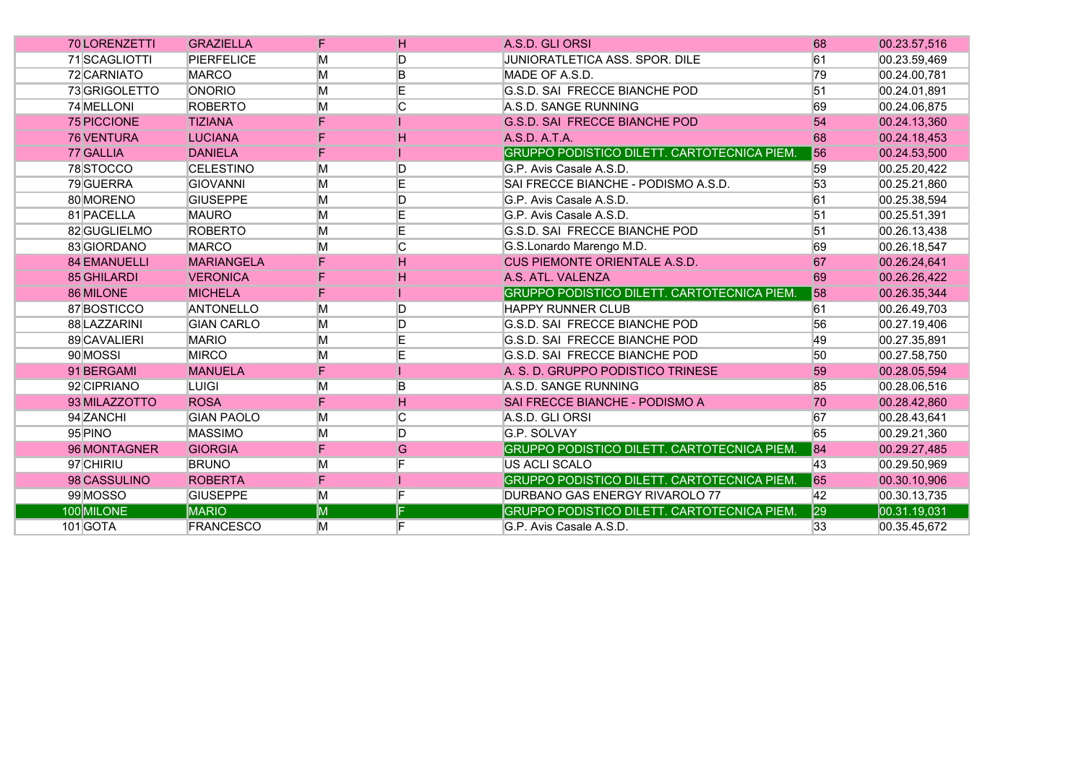| <b>70 LORENZETTI</b> | <b>GRAZIELLA</b>  | F | H | A.S.D. GLI ORSI                                    | 68 | 00.23.57,516 |
|----------------------|-------------------|---|---|----------------------------------------------------|----|--------------|
| 71 SCAGLIOTTI        | <b>PIERFELICE</b> | M | D | JUNIORATLETICA ASS. SPOR. DILE                     | 61 | 00.23.59,469 |
| 72 CARNIATO          | <b>MARCO</b>      | M | B | MADE OF A.S.D.                                     | 79 | 00.24.00,781 |
| 73 GRIGOLETTO        | <b>ONORIO</b>     | M | E | <b>G.S.D. SAI FRECCE BIANCHE POD</b>               | 51 | 00.24.01,891 |
| 74 MELLONI           | <b>ROBERTO</b>    | M | C | A.S.D. SANGE RUNNING                               | 69 | 00.24.06,875 |
| <b>75 PICCIONE</b>   | <b>TIZIANA</b>    | F |   | <b>G.S.D. SAI FRECCE BIANCHE POD</b>               | 54 | 00.24.13,360 |
| <b>76 VENTURA</b>    | <b>LUCIANA</b>    | F | н | A.S.D. A.T.A.                                      | 68 | 00.24.18,453 |
| 77 GALLIA            | <b>DANIELA</b>    | F |   | <b>GRUPPO PODISTICO DILETT. CARTOTECNICA PIEM.</b> | 56 | 00.24.53,500 |
| 78STOCCO             | <b>CELESTINO</b>  | M | D | G.P. Avis Casale A.S.D.                            | 59 | 00.25.20,422 |
| 79 GUERRA            | <b>GIOVANNI</b>   | M | E | SAI FRECCE BIANCHE - PODISMO A.S.D.                | 53 | 00.25.21,860 |
| 80 MORENO            | <b>GIUSEPPE</b>   | M | D | G.P. Avis Casale A.S.D.                            | 61 | 00.25.38,594 |
| 81 PACELLA           | <b>MAURO</b>      | M | E | G.P. Avis Casale A.S.D.                            | 51 | 00.25.51,391 |
| 82 GUGLIELMO         | <b>ROBERTO</b>    | M | E | IG.S.D. SAI FRECCE BIANCHE POD                     | 51 | 00.26.13,438 |
| 83 GIORDANO          | <b>MARCO</b>      | M | C | G.S.Lonardo Marengo M.D.                           | 69 | 00.26.18,547 |
| <b>84 EMANUELLI</b>  | <b>MARIANGELA</b> | F | н | <b>CUS PIEMONTE ORIENTALE A.S.D.</b>               | 67 | 00.26.24,641 |
| 85 GHILARDI          | <b>VERONICA</b>   | F | H | A.S. ATL. VALENZA                                  | 69 | 00.26.26,422 |
| 86 MILONE            | <b>MICHELA</b>    | F |   | GRUPPO PODISTICO DILETT. CARTOTECNICA PIEM.        | 58 | 00.26.35,344 |
| 87 BOSTICCO          | <b>ANTONELLO</b>  | M | D | <b>HAPPY RUNNER CLUB</b>                           | 61 | 00.26.49,703 |
| 88 LAZZARINI         | <b>GIAN CARLO</b> | M | D | G.S.D. SAI FRECCE BIANCHE POD                      | 56 | 00.27.19,406 |
| 89 CAVALIERI         | <b>MARIO</b>      | M | E | <b>G.S.D. SAI FRECCE BIANCHE POD</b>               | 49 | 00.27.35,891 |
| 90 MOSSI             | <b>MIRCO</b>      | M | E | <b>G.S.D. SAI FRECCE BIANCHE POD</b>               | 50 | 00.27.58,750 |
| 91 BERGAMI           | <b>MANUELA</b>    | F |   | A. S. D. GRUPPO PODISTICO TRINESE                  | 59 | 00.28.05,594 |
| 92 CIPRIANO          | LUIGI             | M | B | A.S.D. SANGE RUNNING                               | 85 | 00.28.06,516 |
| 93 MILAZZOTTO        | <b>ROSA</b>       | F | н | SAI FRECCE BIANCHE - PODISMO A                     | 70 | 00.28.42,860 |
| 94 ZANCHI            | <b>GIAN PAOLO</b> | M | C | A.S.D. GLI ORSI                                    | 67 | 00.28.43,641 |
| 95 PINO              | <b>MASSIMO</b>    | M | D | G.P. SOLVAY                                        | 65 | 00.29.21,360 |
| 96 MONTAGNER         | <b>GIORGIA</b>    | F | G | GRUPPO PODISTICO DILETT. CARTOTECNICA PIEM.        | 84 | 00.29.27,485 |
| 97 CHIRIU            | <b>BRUNO</b>      | M | F | US ACLI SCALO                                      | 43 | 00.29.50,969 |
| 98 CASSULINO         | <b>ROBERTA</b>    | F |   | GRUPPO PODISTICO DILETT. CARTOTECNICA PIEM.        | 65 | 00.30.10,906 |
| 99 MOSSO             | <b>GIUSEPPE</b>   | M | F | DURBANO GAS ENERGY RIVAROLO 77                     | 42 | 00.30.13,735 |
| 100 MILONE           | <b>MARIO</b>      | M |   | GRUPPO PODISTICO DILETT. CARTOTECNICA PIEM.        | 29 | 00.31.19,031 |
| 101 GOTA             | <b>FRANCESCO</b>  | М | F | G.P. Avis Casale A.S.D.                            | 33 | 00.35.45.672 |